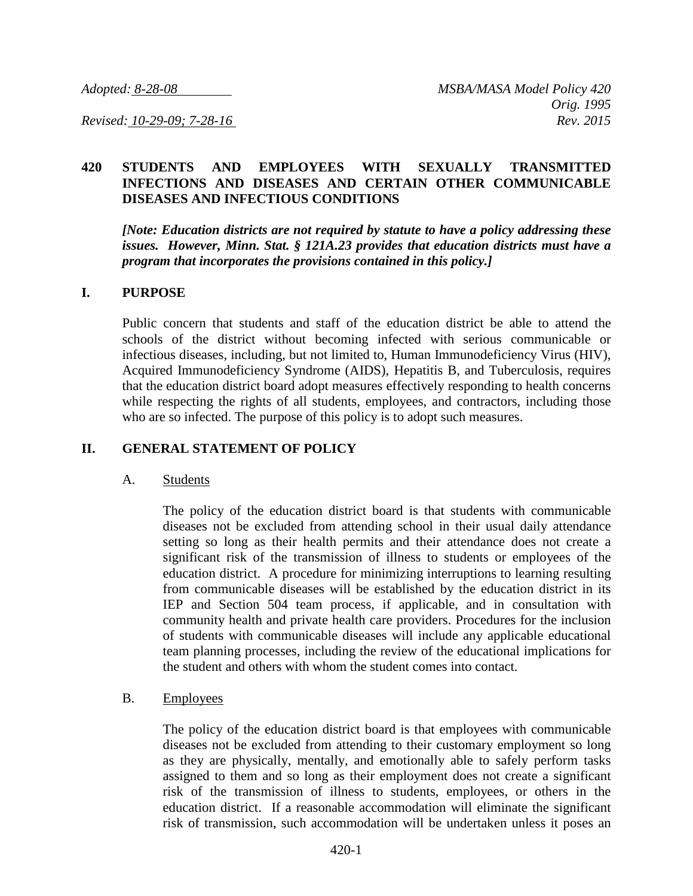## **420 STUDENTS AND EMPLOYEES WITH SEXUALLY TRANSMITTED INFECTIONS AND DISEASES AND CERTAIN OTHER COMMUNICABLE DISEASES AND INFECTIOUS CONDITIONS**

*[Note: Education districts are not required by statute to have a policy addressing these issues. However, Minn. Stat. § 121A.23 provides that education districts must have a program that incorporates the provisions contained in this policy.]*

#### **I. PURPOSE**

Public concern that students and staff of the education district be able to attend the schools of the district without becoming infected with serious communicable or infectious diseases, including, but not limited to, Human Immunodeficiency Virus (HIV), Acquired Immunodeficiency Syndrome (AIDS), Hepatitis B, and Tuberculosis, requires that the education district board adopt measures effectively responding to health concerns while respecting the rights of all students, employees, and contractors, including those who are so infected. The purpose of this policy is to adopt such measures.

### **II. GENERAL STATEMENT OF POLICY**

#### A. Students

The policy of the education district board is that students with communicable diseases not be excluded from attending school in their usual daily attendance setting so long as their health permits and their attendance does not create a significant risk of the transmission of illness to students or employees of the education district. A procedure for minimizing interruptions to learning resulting from communicable diseases will be established by the education district in its IEP and Section 504 team process, if applicable, and in consultation with community health and private health care providers. Procedures for the inclusion of students with communicable diseases will include any applicable educational team planning processes, including the review of the educational implications for the student and others with whom the student comes into contact.

### B. Employees

The policy of the education district board is that employees with communicable diseases not be excluded from attending to their customary employment so long as they are physically, mentally, and emotionally able to safely perform tasks assigned to them and so long as their employment does not create a significant risk of the transmission of illness to students, employees, or others in the education district. If a reasonable accommodation will eliminate the significant risk of transmission, such accommodation will be undertaken unless it poses an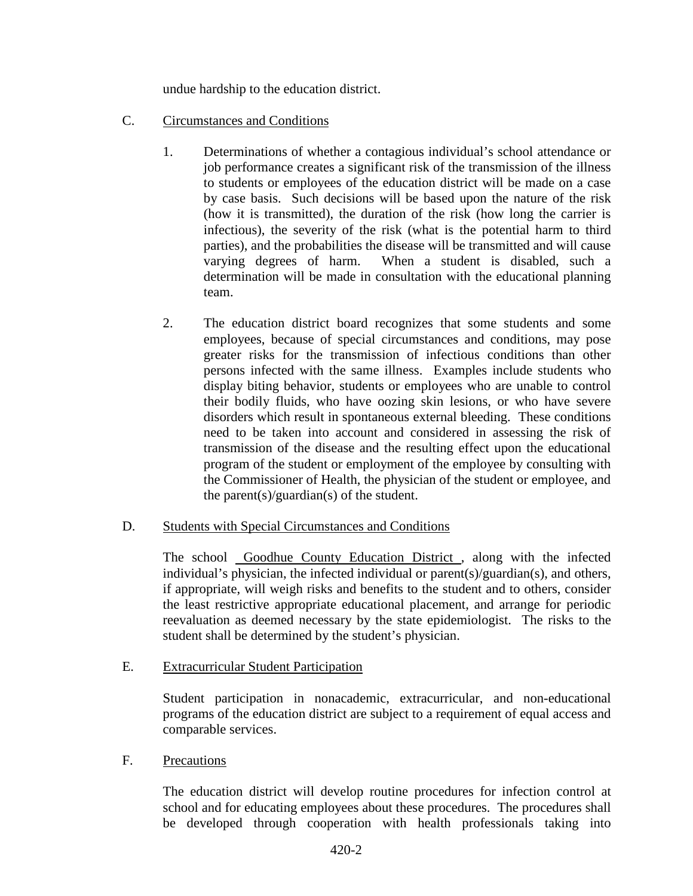undue hardship to the education district.

- C. Circumstances and Conditions
	- 1. Determinations of whether a contagious individual's school attendance or job performance creates a significant risk of the transmission of the illness to students or employees of the education district will be made on a case by case basis. Such decisions will be based upon the nature of the risk (how it is transmitted), the duration of the risk (how long the carrier is infectious), the severity of the risk (what is the potential harm to third parties), and the probabilities the disease will be transmitted and will cause varying degrees of harm. When a student is disabled, such a determination will be made in consultation with the educational planning team.
	- 2. The education district board recognizes that some students and some employees, because of special circumstances and conditions, may pose greater risks for the transmission of infectious conditions than other persons infected with the same illness. Examples include students who display biting behavior, students or employees who are unable to control their bodily fluids, who have oozing skin lesions, or who have severe disorders which result in spontaneous external bleeding. These conditions need to be taken into account and considered in assessing the risk of transmission of the disease and the resulting effect upon the educational program of the student or employment of the employee by consulting with the Commissioner of Health, the physician of the student or employee, and the parent(s)/guardian(s) of the student.

### D. Students with Special Circumstances and Conditions

The school Goodhue County Education District , along with the infected individual's physician, the infected individual or parent(s)/guardian(s), and others, if appropriate, will weigh risks and benefits to the student and to others, consider the least restrictive appropriate educational placement, and arrange for periodic reevaluation as deemed necessary by the state epidemiologist. The risks to the student shall be determined by the student's physician.

### E. Extracurricular Student Participation

Student participation in nonacademic, extracurricular, and non-educational programs of the education district are subject to a requirement of equal access and comparable services.

### F. Precautions

The education district will develop routine procedures for infection control at school and for educating employees about these procedures. The procedures shall be developed through cooperation with health professionals taking into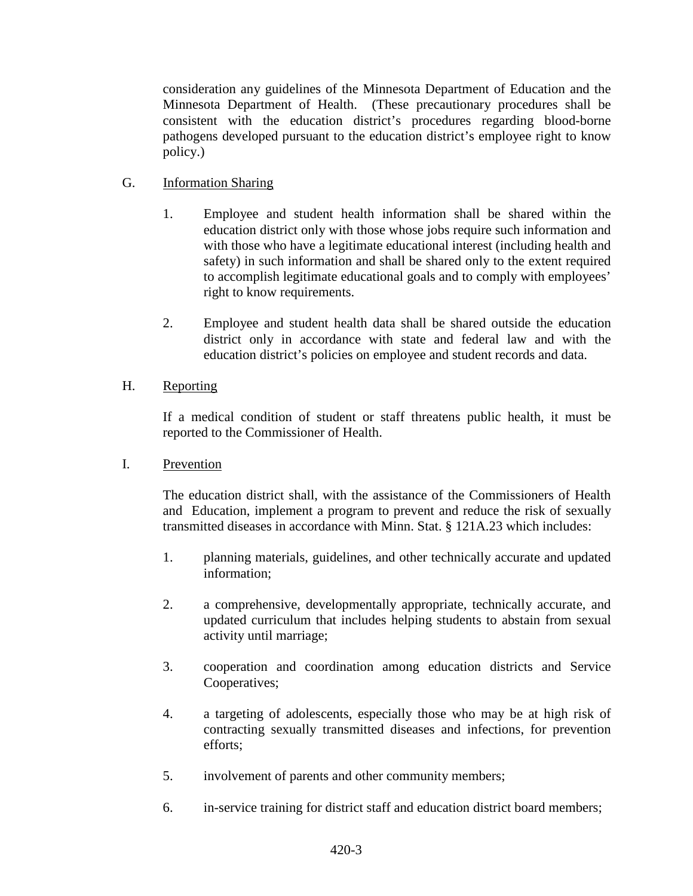consideration any guidelines of the Minnesota Department of Education and the Minnesota Department of Health. (These precautionary procedures shall be consistent with the education district's procedures regarding blood-borne pathogens developed pursuant to the education district's employee right to know policy.)

# G. Information Sharing

- 1. Employee and student health information shall be shared within the education district only with those whose jobs require such information and with those who have a legitimate educational interest (including health and safety) in such information and shall be shared only to the extent required to accomplish legitimate educational goals and to comply with employees' right to know requirements.
- 2. Employee and student health data shall be shared outside the education district only in accordance with state and federal law and with the education district's policies on employee and student records and data.

## H. Reporting

If a medical condition of student or staff threatens public health, it must be reported to the Commissioner of Health.

I. Prevention

The education district shall, with the assistance of the Commissioners of Health and Education, implement a program to prevent and reduce the risk of sexually transmitted diseases in accordance with Minn. Stat. § 121A.23 which includes:

- 1. planning materials, guidelines, and other technically accurate and updated information;
- 2. a comprehensive, developmentally appropriate, technically accurate, and updated curriculum that includes helping students to abstain from sexual activity until marriage;
- 3. cooperation and coordination among education districts and Service Cooperatives;
- 4. a targeting of adolescents, especially those who may be at high risk of contracting sexually transmitted diseases and infections, for prevention efforts;
- 5. involvement of parents and other community members;
- 6. in-service training for district staff and education district board members;